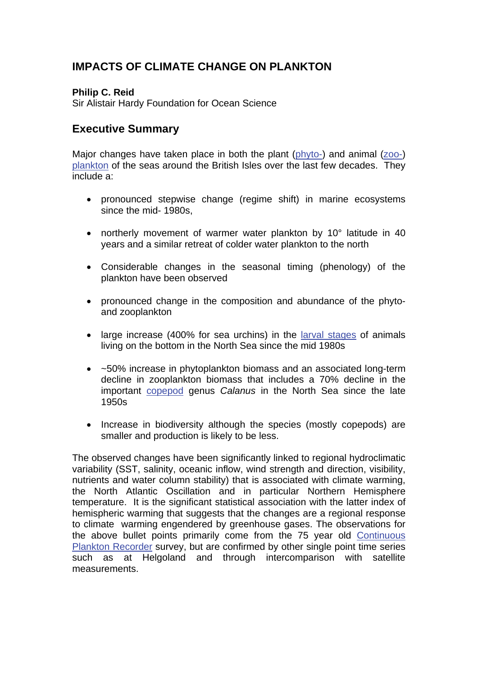# **IMPACTS OF CLIMATE CHANGE ON PLANKTON**

#### **Philip C. Reid**

Sir Alistair Hardy Foundation for Ocean Science

### **Executive Summary**

Major changes have taken place in both the plant [\(phyto-\) a](http://www.mccip.org.uk/arc/glossary.htm)nd animal [\(zoo-\)](http://www.mccip.org.uk/arc/glossary.htm)  [plankton](http://www.mccip.org.uk/arc/glossary.htm) of the seas around the British Isles over the last few decades. They include a:

- pronounced stepwise change (regime shift) in marine ecosystems since the mid- 1980s,
- northerly movement of warmer water plankton by 10° latitude in 40 years and a similar retreat of colder water plankton to the north
- Considerable changes in the seasonal timing (phenology) of the plankton have been observed
- pronounced change in the composition and abundance of the phytoand zooplankton
- large increase (400% for sea urchins) in th[e larval stages](http://www.mccip.org.uk/arc/glossary.htm) of animals living on the bottom in the North Sea since the mid 1980s
- ~50% increase in phytoplankton biomass and an associated long-term decline in zooplankton biomass that includes a 70% decline in the important [copepod](http://www.mccip.org.uk/arc/glossary.htm) genus *Calanus* in the North Sea since the late 1950s
- Increase in biodiversity although the species (mostly copepods) are smaller and production is likely to be less.

The observed changes have been significantly linked to regional hydroclimatic variability (SST, salinity, oceanic inflow, wind strength and direction, visibility, nutrients and water column stability) that is associated with climate warming, the North Atlantic Oscillation and in particular Northern Hemisphere temperature. It is the significant statistical association with the latter index of hemispheric warming that suggests that the changes are a regional response to climate warming engendered by greenhouse gases. The observations for the above bullet points primarily come from the 75 year old Continuous [Plankton Recorder s](http://www.mccip.org.uk/arc/glossary.htm)urvey, but are confirmed by other single point time series such as at Helgoland and through intercomparison with satellite measurements.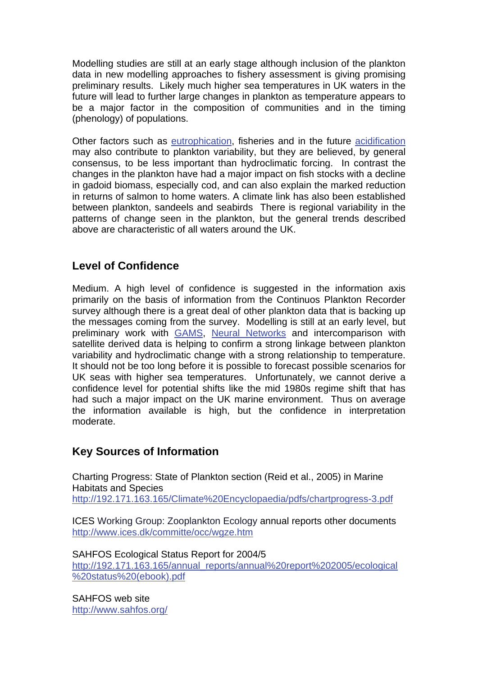Modelling studies are still at an early stage although inclusion of the plankton data in new modelling approaches to fishery assessment is giving promising preliminary results. Likely much higher sea temperatures in UK waters in the future will lead to further large changes in plankton as temperature appears to be a major factor in the composition of communities and in the timing (phenology) of populations.

Other factors such a[s eutrophication,](http://www.mccip.org.uk/arc/glossary.htm) fisheries and in the future [acidification](http://www.mccip.org.uk/arc/glossary.htm) may also contribute to plankton variability, but they are believed, by general consensus, to be less important than hydroclimatic forcing. In contrast the changes in the plankton have had a major impact on fish stocks with a decline in gadoid biomass, especially cod, and can also explain the marked reduction in returns of salmon to home waters. A climate link has also been established between plankton, sandeels and seabirds There is regional variability in the patterns of change seen in the plankton, but the general trends described above are characteristic of all waters around the UK.

## **Level of Confidence**

Medium. A high level of confidence is suggested in the information axis primarily on the basis of information from the Continuos Plankton Recorder survey although there is a great deal of other plankton data that is backing up the messages coming from the survey. Modelling is still at an early level, but preliminary work with **GAMS**, Neural Networks and intercomparison with satellite derived data is helping to confirm a strong linkage between plankton variability and hydroclimatic change with a strong relationship to temperature. It should not be too long before it is possible to forecast possible scenarios for UK seas with higher sea temperatures. Unfortunately, we cannot derive a confidence level for potential shifts like the mid 1980s regime shift that has had such a major impact on the UK marine environment. Thus on average the information available is high, but the confidence in interpretation moderate.

## **Key Sources of Information**

Charting Progress: State of Plankton section (Reid et al., 2005) in Marine Habitats and Species <http://192.171.163.165/Climate%20Encyclopaedia/pdfs/chartprogress-3.pdf>

ICES Working Group: Zooplankton Ecology annual reports other documents <http://www.ices.dk/committe/occ/wgze.htm>

SAHFOS Ecological Status Report for 2004/5 [http://192.171.163.165/annual\\_reports/annual%20report%202005/ecological](http://192.171.163.165/annual_reports/annual%20report%202005/ecological%20status%20(ebook).pdf) [%20status%20\(ebook\).pdf](http://192.171.163.165/annual_reports/annual%20report%202005/ecological%20status%20(ebook).pdf)

SAHFOS web site <http://www.sahfos.org/>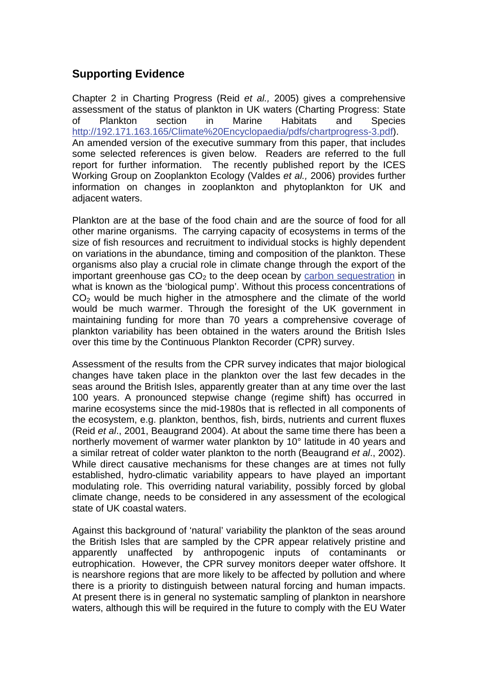# **Supporting Evidence**

Chapter 2 in Charting Progress (Reid *et al.,* 2005) gives a comprehensive assessment of the status of plankton in UK waters (Charting Progress: State of Plankton section in Marine Habitats and Species [http://192.171.163.165/Climate%20Encyclopaedia/pdfs/chartprogress-3.pdf\)](http://192.171.163.165/Climate%20Encyclopaedia/pdfs/chartprogress-3.pdf). An amended version of the executive summary from this paper, that includes some selected references is given below. Readers are referred to the full report for further information. The recently published report by the ICES Working Group on Zooplankton Ecology (Valdes *et al.,* 2006) provides further information on changes in zooplankton and phytoplankton for UK and adjacent waters.

Plankton are at the base of the food chain and are the source of food for all other marine organisms. The carrying capacity of ecosystems in terms of the size of fish resources and recruitment to individual stocks is highly dependent on variations in the abundance, timing and composition of the plankton. These organisms also play a crucial role in climate change through the export of the important greenhouse gas  $CO<sub>2</sub>$  to the deep ocean by carbon sequestration in what is known as the 'biological pump'. Without this process concentrations of  $CO<sub>2</sub>$  would be much higher in the atmosphere and the climate of the world would be much warmer. Through the foresight of the UK government in maintaining funding for more than 70 years a comprehensive coverage of plankton variability has been obtained in the waters around the British Isles over this time by the Continuous Plankton Recorder (CPR) survey.

Assessment of the results from the CPR survey indicates that major biological changes have taken place in the plankton over the last few decades in the seas around the British Isles, apparently greater than at any time over the last 100 years. A pronounced stepwise change (regime shift) has occurred in marine ecosystems since the mid-1980s that is reflected in all components of the ecosystem, e.g. plankton, benthos, fish, birds, nutrients and current fluxes (Reid *et al*., 2001, Beaugrand 2004). At about the same time there has been a northerly movement of warmer water plankton by 10° latitude in 40 years and a similar retreat of colder water plankton to the north (Beaugrand *et al*., 2002). While direct causative mechanisms for these changes are at times not fully established, hydro-climatic variability appears to have played an important modulating role. This overriding natural variability, possibly forced by global climate change, needs to be considered in any assessment of the ecological state of UK coastal waters.

Against this background of 'natural' variability the plankton of the seas around the British Isles that are sampled by the CPR appear relatively pristine and apparently unaffected by anthropogenic inputs of contaminants or eutrophication. However, the CPR survey monitors deeper water offshore. It is nearshore regions that are more likely to be affected by pollution and where there is a priority to distinguish between natural forcing and human impacts. At present there is in general no systematic sampling of plankton in nearshore waters, although this will be required in the future to comply with the EU Water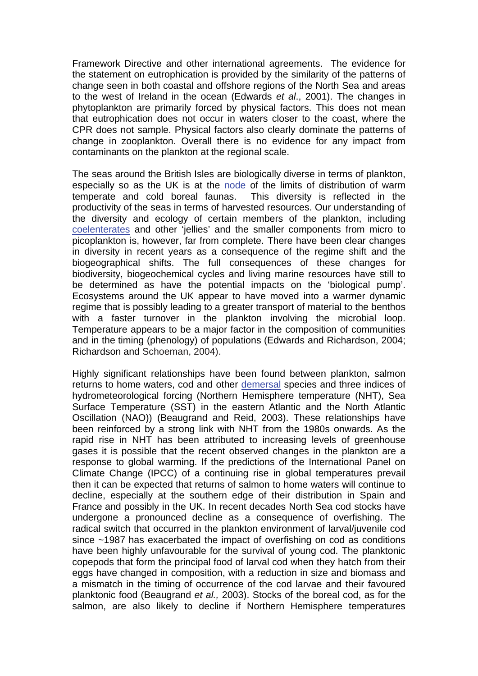Framework Directive and other international agreements. The evidence for the statement on eutrophication is provided by the similarity of the patterns of change seen in both coastal and offshore regions of the North Sea and areas to the west of Ireland in the ocean (Edwards *et al*., 2001). The changes in phytoplankton are primarily forced by physical factors. This does not mean that eutrophication does not occur in waters closer to the coast, where the CPR does not sample. Physical factors also clearly dominate the patterns of change in zooplankton. Overall there is no evidence for any impact from contaminants on the plankton at the regional scale.

The seas around the British Isles are biologically diverse in terms of plankton, especially so as the UK is at the node of the limits of distribution of warm temperate and cold boreal faunas. This diversity is reflected in the productivity of the seas in terms of harvested resources. Our understanding of the diversity and ecology of certain members of the plankton, including coelenterates and other 'jellies' and the smaller components from micro to picoplankton is, however, far from complete. There have been clear changes in diversity in recent years as a consequence of the regime shift and the biogeographical shifts. The full consequences of these changes for biodiversity, biogeochemical cycles and living marine resources have still to be determined as have the potential impacts on the 'biological pump'. Ecosystems around the UK appear to have moved into a warmer dynamic regime that is possibly leading to a greater transport of material to the benthos with a faster turnover in the plankton involving the microbial loop. Temperature appears to be a major factor in the composition of communities and in the timing (phenology) of populations (Edwards and Richardson, 2004; Richardson and Schoeman, 2004).

Highly significant relationships have been found between plankton, salmon returns to home waters, cod and other demersal species and three indices of hydrometeorological forcing (Northern Hemisphere temperature (NHT), Sea Surface Temperature (SST) in the eastern Atlantic and the North Atlantic Oscillation (NAO)) (Beaugrand and Reid, 2003). These relationships have been reinforced by a strong link with NHT from the 1980s onwards. As the rapid rise in NHT has been attributed to increasing levels of greenhouse gases it is possible that the recent observed changes in the plankton are a response to global warming. If the predictions of the International Panel on Climate Change (IPCC) of a continuing rise in global temperatures prevail then it can be expected that returns of salmon to home waters will continue to decline, especially at the southern edge of their distribution in Spain and France and possibly in the UK. In recent decades North Sea cod stocks have undergone a pronounced decline as a consequence of overfishing. The radical switch that occurred in the plankton environment of larval/juvenile cod since ~1987 has exacerbated the impact of overfishing on cod as conditions have been highly unfavourable for the survival of young cod. The planktonic copepods that form the principal food of larval cod when they hatch from their eggs have changed in composition, with a reduction in size and biomass and a mismatch in the timing of occurrence of the cod larvae and their favoured planktonic food (Beaugrand *et al.,* 2003). Stocks of the boreal cod, as for the salmon, are also likely to decline if Northern Hemisphere temperatures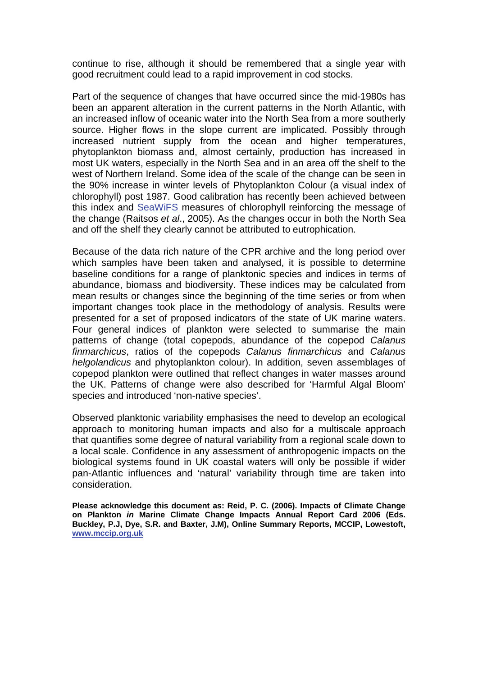continue to rise, although it should be remembered that a single year with good recruitment could lead to a rapid improvement in cod stocks.

Part of the sequence of changes that have occurred since the mid-1980s has been an apparent alteration in the current patterns in the North Atlantic, with an increased inflow of oceanic water into the North Sea from a more southerly source. Higher flows in the slope current are implicated. Possibly through increased nutrient supply from the ocean and higher temperatures, phytoplankton biomass and, almost certainly, production has increased in most UK waters, especially in the North Sea and in an area off the shelf to the west of Northern Ireland. Some idea of the scale of the change can be seen in the 90% increase in winter levels of Phytoplankton Colour (a visual index of chlorophyll) post 1987. Good calibration has recently been achieved between this index and SeaWiFS measures of chlorophyll reinforcing the message of the change (Raitsos *et al*., 2005). As the changes occur in both the North Sea and off the shelf they clearly cannot be attributed to eutrophication.

Because of the data rich nature of the CPR archive and the long period over which samples have been taken and analysed, it is possible to determine baseline conditions for a range of planktonic species and indices in terms of abundance, biomass and biodiversity. These indices may be calculated from mean results or changes since the beginning of the time series or from when important changes took place in the methodology of analysis. Results were presented for a set of proposed indicators of the state of UK marine waters. Four general indices of plankton were selected to summarise the main patterns of change (total copepods, abundance of the copepod *Calanus finmarchicus*, ratios of the copepods *Calanus finmarchicus* and *Calanus helgolandicus* and phytoplankton colour). In addition, seven assemblages of copepod plankton were outlined that reflect changes in water masses around the UK. Patterns of change were also described for 'Harmful Algal Bloom' species and introduced 'non-native species'.

Observed planktonic variability emphasises the need to develop an ecological approach to monitoring human impacts and also for a multiscale approach that quantifies some degree of natural variability from a regional scale down to a local scale. Confidence in any assessment of anthropogenic impacts on the biological systems found in UK coastal waters will only be possible if wider pan-Atlantic influences and 'natural' variability through time are taken into consideration.

**Please acknowledge this document as: Reid, P. C. (2006). Impacts of Climate Change on Plankton** *in* **Marine Climate Change Impacts Annual Report Card 2006 (Eds. Buckley, P.J, Dye, S.R. and Baxter, J.M), Online Summary Reports, MCCIP, Lowestoft, [www.mccip.org.uk](http://www.mccip.org.uk/)**